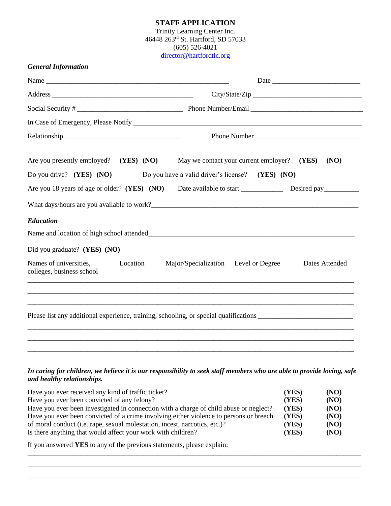## **STAFF APPLICATION** Trinity Learning Center Inc. 46448 263rd St. Hartford, SD 57033 (605) 526-4021 [director@hartfordtlc.org](mailto:tlc@trinitylutheran-hartfordsd.org)

| <b>General Information</b>                                           |                                                                                                            |
|----------------------------------------------------------------------|------------------------------------------------------------------------------------------------------------|
|                                                                      |                                                                                                            |
|                                                                      |                                                                                                            |
|                                                                      |                                                                                                            |
|                                                                      |                                                                                                            |
|                                                                      |                                                                                                            |
| Are you presently employed? (YES) (NO)<br>Do you drive? (YES) $(NO)$ | May we contact your current employer? (YES)<br>(NO)<br>Do you have a valid driver's license? (YES) (NO)    |
|                                                                      | Are you 18 years of age or older? (YES) (NO) Date available to start _______________ Desired pay__________ |
|                                                                      |                                                                                                            |
| <b>Education</b><br>Did you graduate? (YES) (NO)                     |                                                                                                            |
| Names of universities,<br>Location<br>colleges, business school      | Major/Specialization Level or Degree<br>Dates Attended                                                     |
|                                                                      | ,我们也不能在这里的,我们也不能在这里的,我们也不能不能不能不能不能不能不能不能不能不能不能不能不能不能不能。""我们的是我们的,我们也不能不能不能不能不能不能                           |
|                                                                      | Please list any additional experience, training, schooling, or special qualifications                      |
|                                                                      |                                                                                                            |
|                                                                      |                                                                                                            |

## *In caring for children, we believe it is our responsibility to seek staff members who are able to provide loving, safe and healthy relationships.*

| Have you ever received any kind of traffic ticket?                                     | (YES) | (NO) |
|----------------------------------------------------------------------------------------|-------|------|
| Have you ever been convicted of any felony?                                            | (YES) | (NO) |
| Have you ever been investigated in connection with a charge of child abuse or neglect? | (YES) | (NO) |
| Have you ever been convicted of a crime involving either violence to persons or breech |       | (NO) |
| of moral conduct (i.e. rape, sexual molestation, incest, narcotics, etc.)?             | (YES) | (NO) |
| Is there anything that would affect your work with children?                           | (YES) | (NO) |

\_\_\_\_\_\_\_\_\_\_\_\_\_\_\_\_\_\_\_\_\_\_\_\_\_\_\_\_\_\_\_\_\_\_\_\_\_\_\_\_\_\_\_\_\_\_\_\_\_\_\_\_\_\_\_\_\_\_\_\_\_\_\_\_\_\_\_\_\_\_\_\_\_\_\_\_\_\_\_\_\_\_\_\_\_\_\_\_\_\_\_\_\_\_\_ \_\_\_\_\_\_\_\_\_\_\_\_\_\_\_\_\_\_\_\_\_\_\_\_\_\_\_\_\_\_\_\_\_\_\_\_\_\_\_\_\_\_\_\_\_\_\_\_\_\_\_\_\_\_\_\_\_\_\_\_\_\_\_\_\_\_\_\_\_\_\_\_\_\_\_\_\_\_\_\_\_\_\_\_\_\_\_\_\_\_\_\_\_\_\_ \_\_\_\_\_\_\_\_\_\_\_\_\_\_\_\_\_\_\_\_\_\_\_\_\_\_\_\_\_\_\_\_\_\_\_\_\_\_\_\_\_\_\_\_\_\_\_\_\_\_\_\_\_\_\_\_\_\_\_\_\_\_\_\_\_\_\_\_\_\_\_\_\_\_\_\_\_\_\_\_\_\_\_\_\_\_\_\_\_\_\_\_\_\_\_

If you answered **YES** to any of the previous statements, please explain: